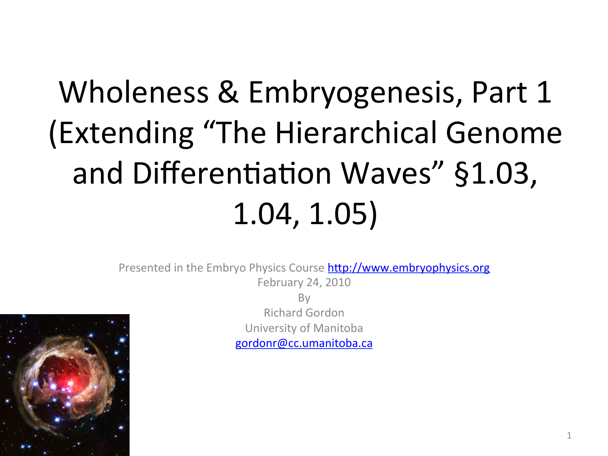## Wholeness & Embryogenesis, Part 1 (Extending "The Hierarchical Genome and Differentiation Waves" §1.03, 1.04, 1.05)

Presented in the Embryo Physics Course http://www.embryophysics.org February 24, 2010



By Richard Gordon University of Manitoba gordonr@cc.umanitoba.ca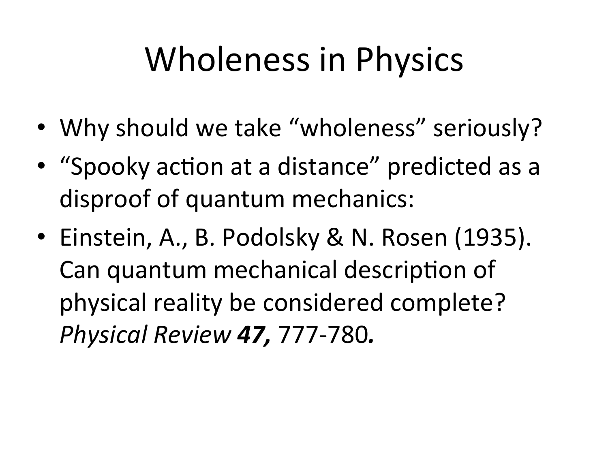## Wholeness in Physics

- Why should we take "wholeness" seriously?
- "Spooky action at a distance" predicted as a disproof of quantum mechanics:
- Einstein, A., B. Podolsky & N. Rosen (1935). Can quantum mechanical description of physical reality be considered complete? *Physical Review 47,* 777-780*.*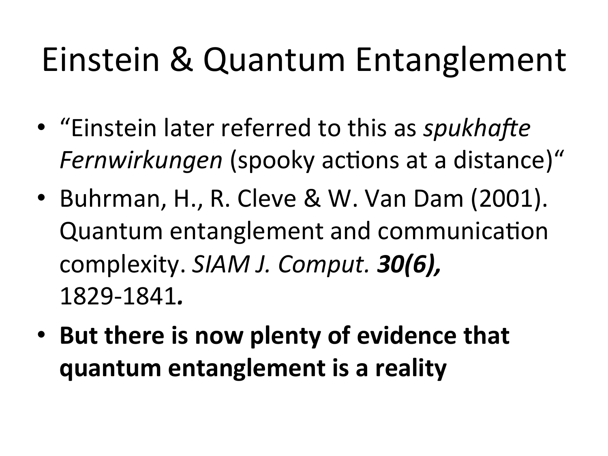### Einstein & Quantum Entanglement

- "Einstein later referred to this as *spukhafte* Fernwirkungen (spooky actions at a distance)"
- Buhrman, H., R. Cleve & W. Van Dam (2001). Quantum entanglement and communication complexity. *SIAM J. Comput.* **30(6)**, 1829-1841*.*
- But there is now plenty of evidence that **quantum entanglement is a reality**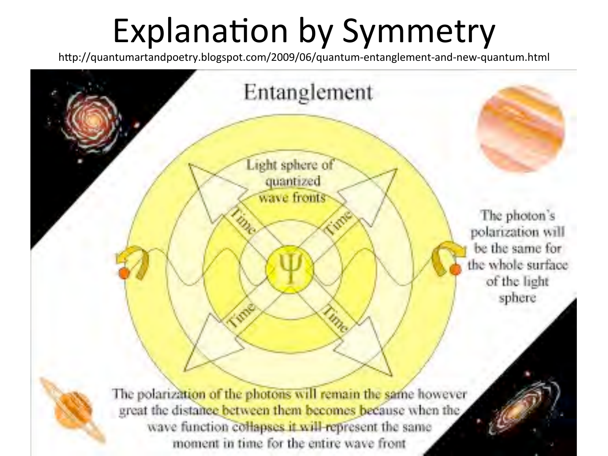### Explanation by Symmetry

http://quantumartandpoetry.blogspot.com/2009/06/quantum-entanglement-and-new-quantum.html

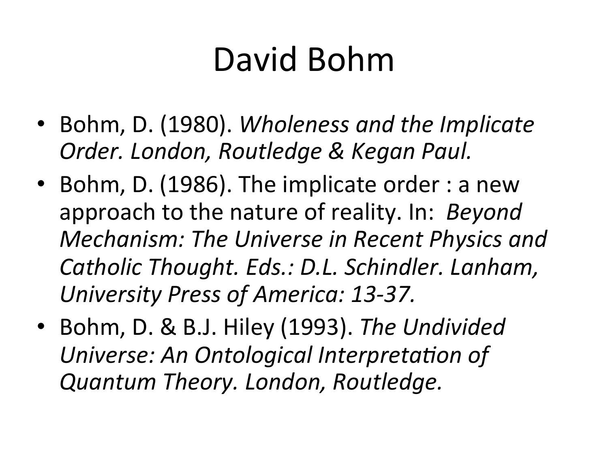### David Bohm

- Bohm, D. (1980). *Wholeness and the Implicate Order. London, Routledge & Kegan Paul.*
- Bohm, D. (1986). The implicate order : a new approach to the nature of reality. In: *Beyond Mechanism: The Universe in Recent Physics and* Catholic Thought. Eds.: D.L. Schindler. Lanham, *University Press of America: 13-37.*
- Bohm, D. & B.J. Hiley (1993). The Undivided Universe: An Ontological Interpretation of *Quantum Theory. London, Routledge.*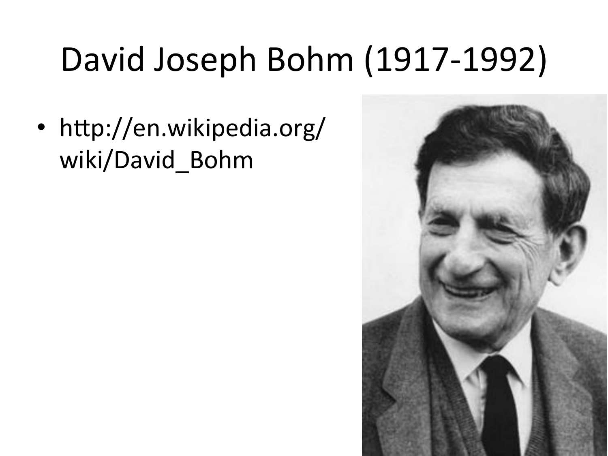## David Joseph Bohm (1917-1992)

• http://en.wikipedia.org/ wiki/David\_Bohm

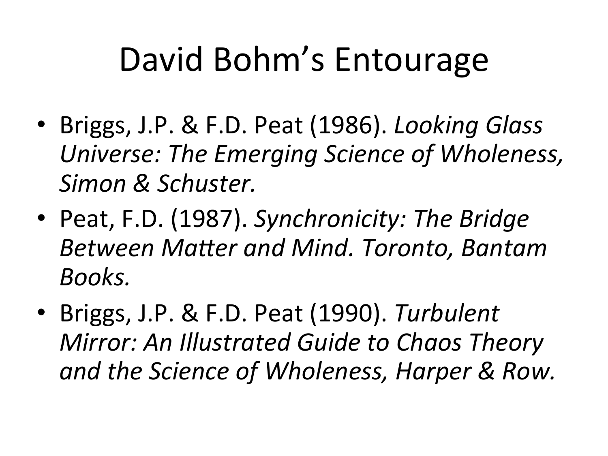### David Bohm's Entourage

- Briggs, J.P. & F.D. Peat (1986). *Looking Glass* Universe: The Emerging Science of Wholeness, Simon & Schuster.
- Peat, F.D. (1987). Synchronicity: The Bridge **Between Matter and Mind. Toronto, Bantam** *Books.*
- Briggs, J.P. & F.D. Peat (1990). Turbulent **Mirror: An Illustrated Guide to Chaos Theory** and the Science of Wholeness, Harper & Row.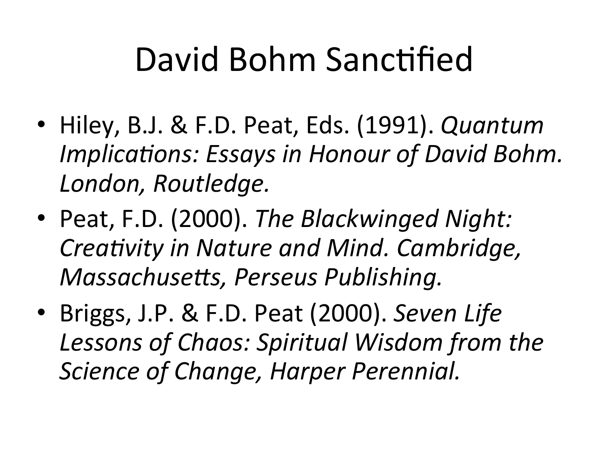### David Bohm Sanctified

- Hiley, B.J. & F.D. Peat, Eds. (1991). *Quantum Implications: Essays in Honour of David Bohm.* London, Routledge.
- Peat, F.D. (2000). The Blackwinged Night: *Creativity in Nature and Mind. Cambridge, Massachusetts, Perseus Publishing.*
- Briggs, J.P. & F.D. Peat (2000). Seven Life Lessons of Chaos: Spiritual Wisdom from the *Science of Change, Harper Perennial.*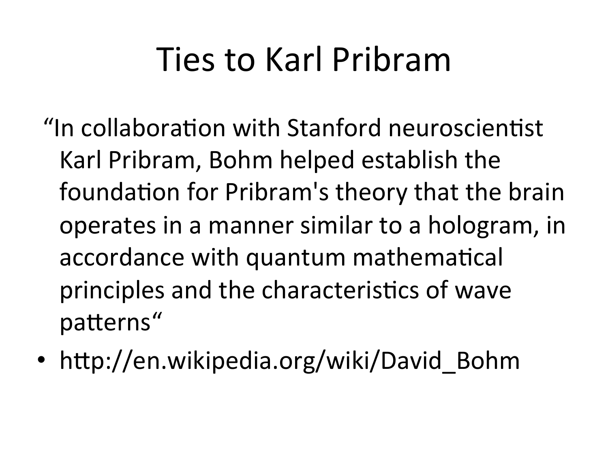### Ties to Karl Pribram

- "In collaboration with Stanford neuroscientist Karl Pribram, Bohm helped establish the foundation for Pribram's theory that the brain operates in a manner similar to a hologram, in accordance with quantum mathematical principles and the characteristics of wave patterns"
- http://en.wikipedia.org/wiki/David Bohm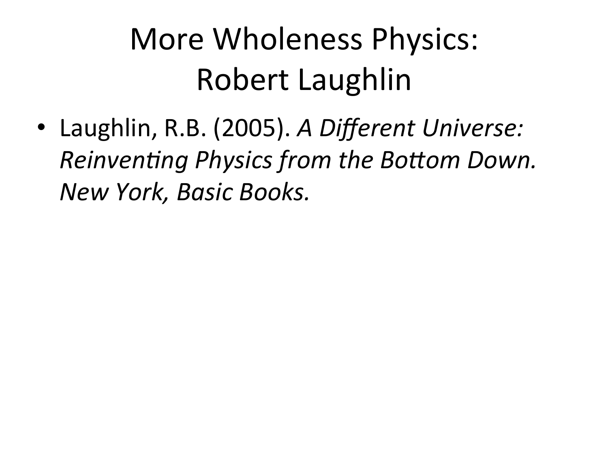### More Wholeness Physics: Robert Laughlin

• Laughlin, R.B. (2005). A Different Universe: *Reinventing Physics from the Bottom Down. New York, Basic Books.*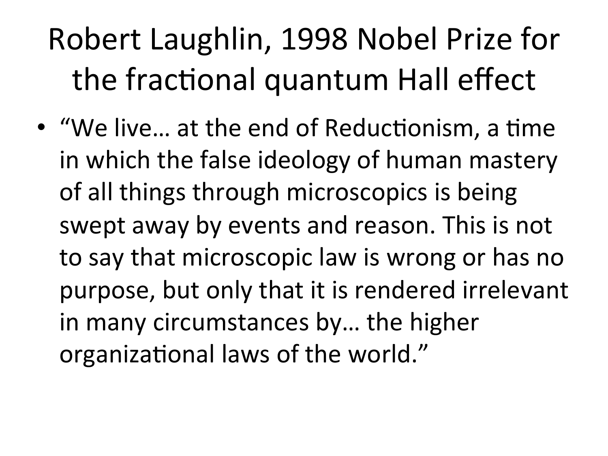### Robert Laughlin, 1998 Nobel Prize for the fractional quantum Hall effect

• "We live... at the end of Reductionism, a time in which the false ideology of human mastery of all things through microscopics is being swept away by events and reason. This is not to say that microscopic law is wrong or has no purpose, but only that it is rendered irrelevant in many circumstances by... the higher organizational laws of the world."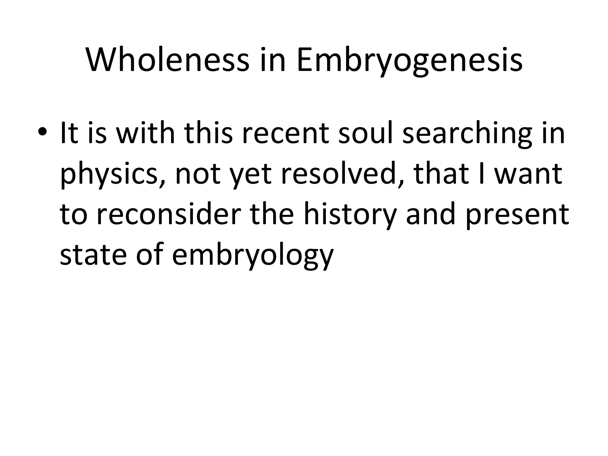## Wholeness in Embryogenesis

• It is with this recent soul searching in physics, not yet resolved, that I want to reconsider the history and present state of embryology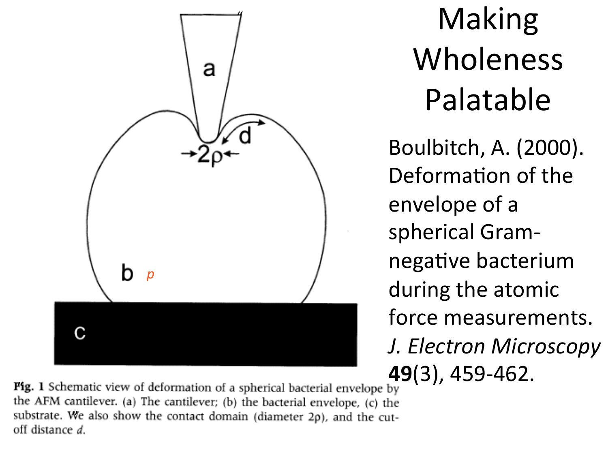

Making Wholeness Palatable 

Boulbitch, A. (2000). Deformation of the envelope of a spherical Gramnegative bacterium during the atomic force measurements. *J. Electron Microscopy* **49**(3), 459-462. 

**Fig. 1** Schematic view of deformation of a spherical bacterial envelope by the AFM cantilever. (a) The cantilever; (b) the bacterial envelope, (c) the substrate. We also show the contact domain (diameter  $2\rho$ ), and the cut-<br>off distance d.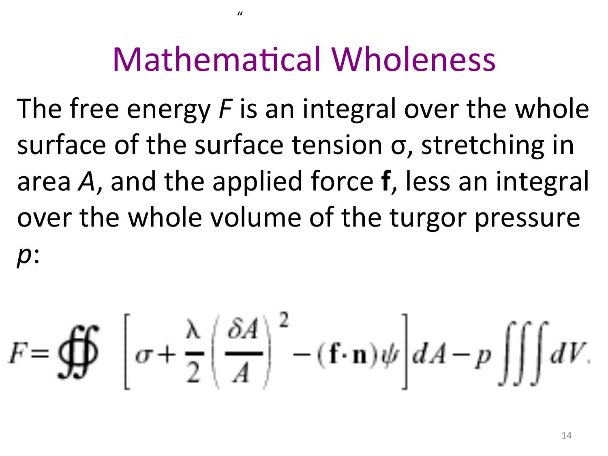### Mathematical Wholeness

 $^{\prime\prime}$ 

The free energy F is an integral over the whole surface of the surface tension  $\sigma$ , stretching in area A, and the applied force **f**, less an integral over the whole volume of the turgor pressure *p*: 

$$
F = \oint\oint \left[ \sigma + \frac{\lambda}{2} \left( \frac{\delta A}{A} \right)^2 - (\mathbf{f} \cdot \mathbf{n}) \psi \right] dA - p \iiint dV.
$$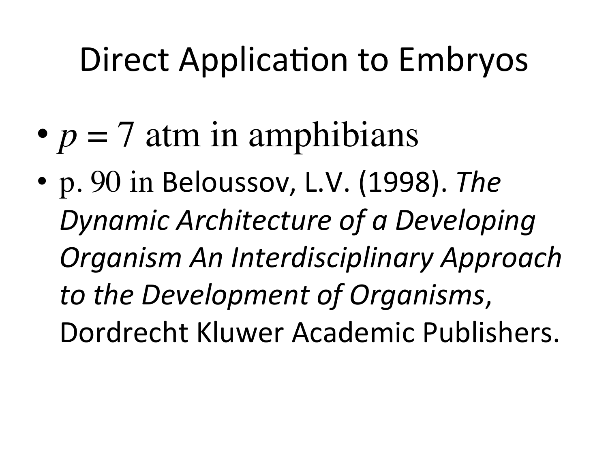### Direct Application to Embryos

- $p = 7$  atm in amphibians
- p. 90 in Beloussov, L.V. (1998). The **Dynamic Architecture of a Developing** *Organism An Interdisciplinary Approach to the Development of Organisms*, Dordrecht Kluwer Academic Publishers.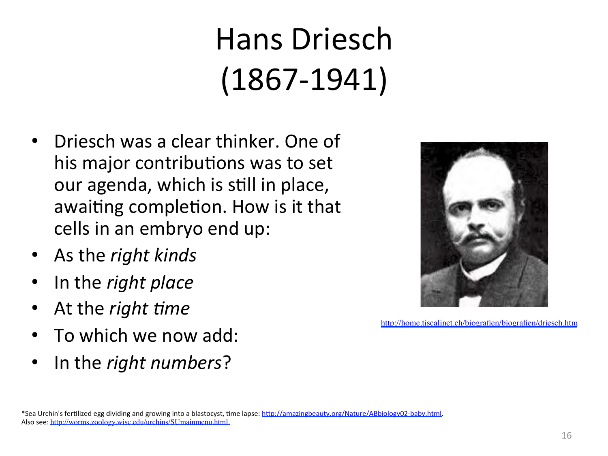### Hans Driesch (1867-1941)

- Driesch was a clear thinker. One of his major contributions was to set our agenda, which is still in place, awaiting completion. How is it that cells in an embryo end up:
- As the *right kinds*
- In the *right place*
- At the *right time*
- To which we now add:
- In the *right numbers*?



http://home.tiscalinet.ch/biografien/biografien/driesch.htm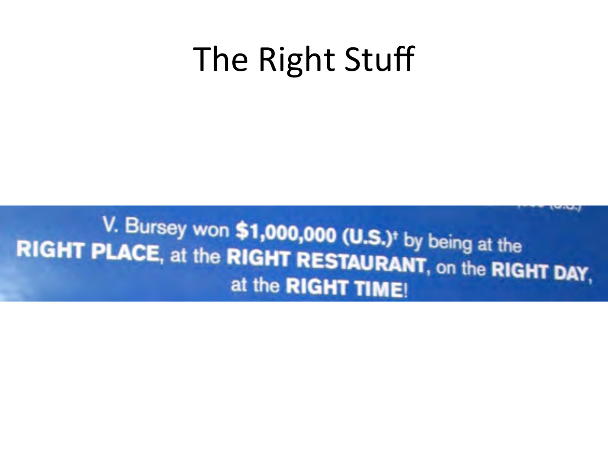### The Right Stuff

V. Bursey won \$1,000,000 (U.S.)<sup>+</sup> by being at the RIGHT PLACE, at the RIGHT RESTAURANT, on the RIGHT DAY, at the RIGHT TIME!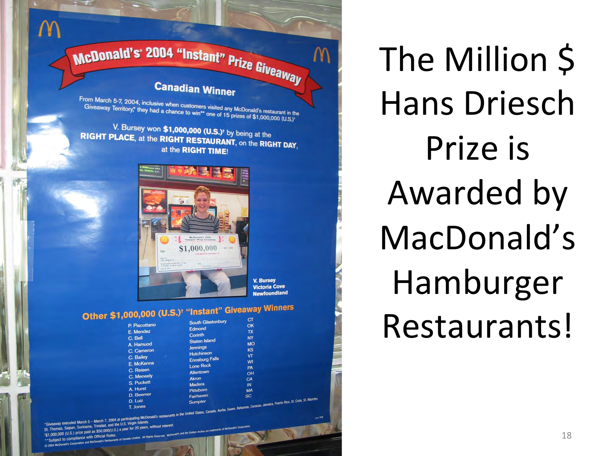# McDonald's' 2004 "Instant" Prize Giveaway

 $\mathsf{M}$ 

### **Canadian Winner**

From March 5-7, 2004, inclusive when customers visited any McDonald's restaurant in the<br>Give away Territory,\* they had a chance to win\*\* one of 15 prizes of \$1,000,000 in the Give away Territory,\* they had a chance to win\*\* one of 15 prizes of \$1,000,000 (U.S.)

V. Bursey won \$1,000,000 (U.S.)<sup>t</sup> by being at the RIGHT PLACE, at the RIGHT RESTAURANT, on the RIGHT DAY, at the RIGHT TIME!



**V. Bursey Victoria Cove Newfoundland**  M

#### Other \$1,000,000 (U.S.)<sup>†</sup> "Instant" Giveaway Winners **South Glastonbury**

| <b>L'ANDROITE</b><br>E. Mendez<br>C. Bell<br>A. Hamuod<br>C. Cameron<br>C. Bailey<br>E. McKenna<br>C. Reisen<br>C. Meneely<br>S. Puckett<br>A. Hurst<br>D. Beemer | Edmond<br>Corinth<br><b>Staten Island</b><br><b>Jennings</b><br><b>Hutchinson</b><br><b>Enosburg Falls</b><br><b>Lone Rock</b><br>Allentown<br><b>Akron</b><br>Madera<br><b>Pittsboro</b><br>Fairhaven | u<br>TX<br><b>NY</b><br><b>MO</b><br>KS<br>VT<br>WI<br>PA<br>OH<br>CA<br>IN<br>MA<br>SC |  |
|-------------------------------------------------------------------------------------------------------------------------------------------------------------------|--------------------------------------------------------------------------------------------------------------------------------------------------------------------------------------------------------|-----------------------------------------------------------------------------------------|--|
| D. Luiz                                                                                                                                                           | <b>Sumpter</b>                                                                                                                                                                                         | The Barrison, Puerto Rico, St. Croix, St. Maarten,                                      |  |
|                                                                                                                                                                   |                                                                                                                                                                                                        |                                                                                         |  |

T. Jones<br>Cheaway executed March 5 – March 7, 2004 at participating McDonald's restaurants in the United States, Canada, Aurba, 1.<br>- Theories, Saloan, Suriname, Trinidad, and the U.S. Virgin Islands. \*Giveaway executed March 5 - March 7, 2004 at particular Islam<br>St. Thomas, Saipan, Suriname, Trinidad, and the U.S. Virgin Islam St. Thomas, Saipan, Suriname, Trinidad, and the City<br>151,000,000 (U.S.) prize paid as \$50,000(U.S.) a year for 20 years nce with Official Rules

The Million \$ Hans Driesch Prize is Awarded by MacDonald's Hamburger Restaurants!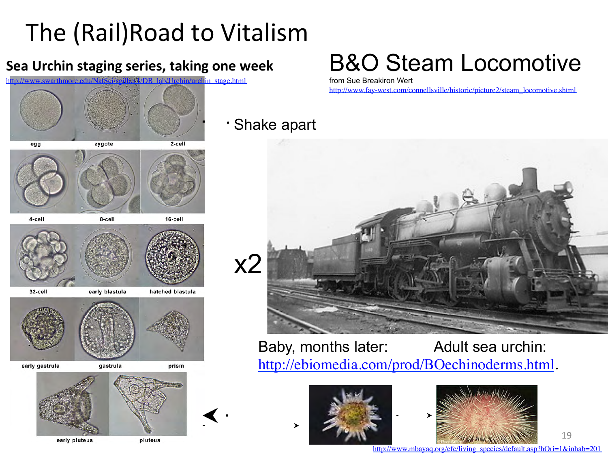### The (Rail)Road to Vitalism

### **Sea Urchin staging series, taking one week**

http://www.swarthmore.edu/NatSci/sgilber1/DB\_lab/Urchin/urchin\_stage.html



### B&O Steam Locomotive

from Sue Breakiron Wert

http://www.fay-west.com/connellsville/historic/picture2/steam\_locomotive.shtml

#### Shake apart ٠



Baby, months later: Adult sea urchin: http://ebiomedia.com/prod/BOechinoderms.html.





http://www.mbayaq.org/efc/living\_species/default.asp?hOri=1&inhab=201

19 

early pluteus

pluteus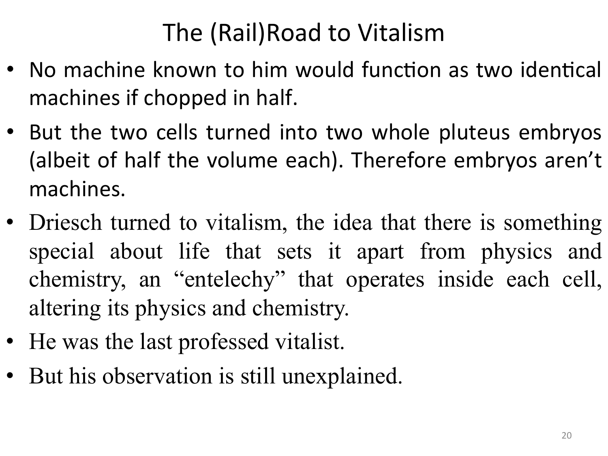### The (Rail)Road to Vitalism

- No machine known to him would function as two identical machines if chopped in half.
- But the two cells turned into two whole pluteus embryos (albeit of half the volume each). Therefore embryos aren't machines.
- Driesch turned to vitalism, the idea that there is something special about life that sets it apart from physics and chemistry, an "entelechy" that operates inside each cell, altering its physics and chemistry.
- He was the last professed vitalist.
- But his observation is still unexplained.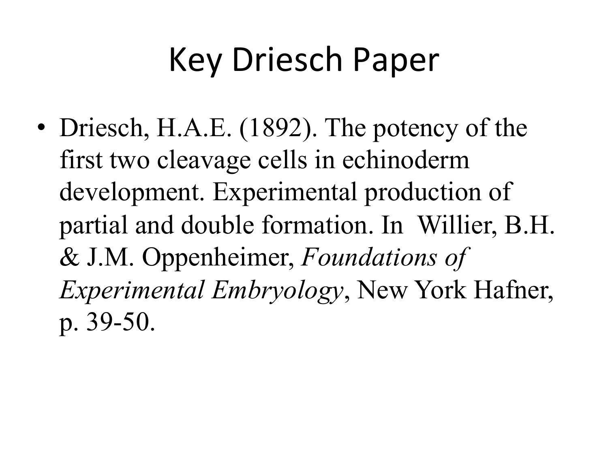### Key Driesch Paper

• Driesch, H.A.E. (1892). The potency of the first two cleavage cells in echinoderm development. Experimental production of partial and double formation. In Willier, B.H. & J.M. Oppenheimer, *Foundations of Experimental Embryology*, New York Hafner, p. 39-50.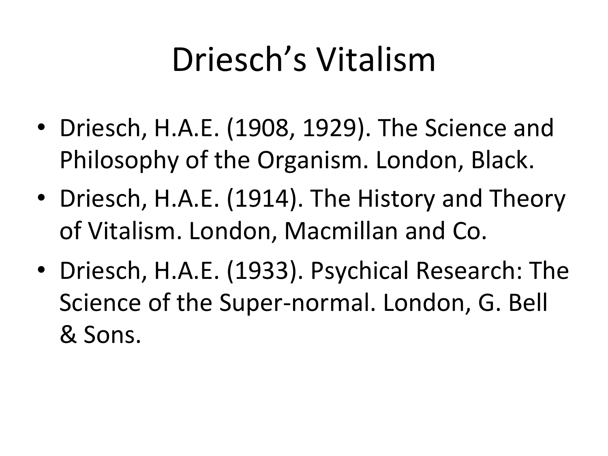### Driesch's Vitalism

- Driesch, H.A.E. (1908, 1929). The Science and Philosophy of the Organism. London, Black.
- Driesch, H.A.E. (1914). The History and Theory of Vitalism. London, Macmillan and Co.
- Driesch, H.A.E. (1933). Psychical Research: The Science of the Super-normal. London, G. Bell & Sons.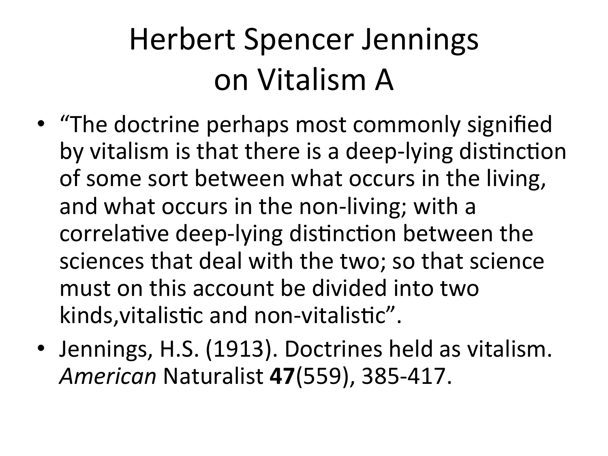### Herbert Spencer Jennings on Vitalism A

- "The doctrine perhaps most commonly signified by vitalism is that there is a deep-lying distinction of some sort between what occurs in the living, and what occurs in the non-living; with a correlative deep-lying distinction between the sciences that deal with the two; so that science must on this account be divided into two kinds, vitalistic and non-vitalistic".
- Jennings, H.S. (1913). Doctrines held as vitalism. *American* Naturalist **47**(559), 385-417.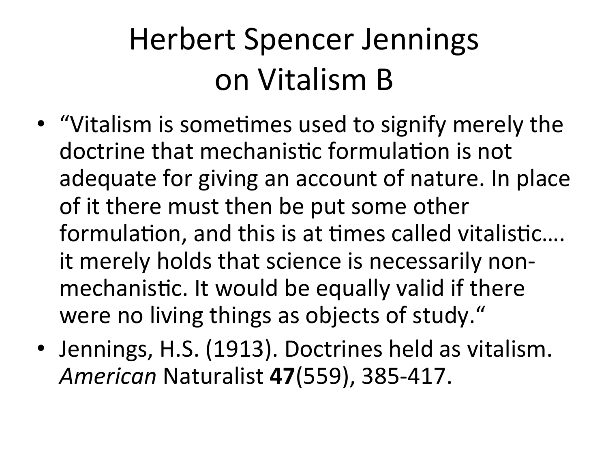### Herbert Spencer Jennings on Vitalism B

- "Vitalism is sometimes used to signify merely the doctrine that mechanistic formulation is not adequate for giving an account of nature. In place of it there must then be put some other formulation, and this is at times called vitalistic.... it merely holds that science is necessarily nonmechanistic. It would be equally valid if there were no living things as objects of study."
- Jennings, H.S. (1913). Doctrines held as vitalism. *American* Naturalist **47**(559), 385-417.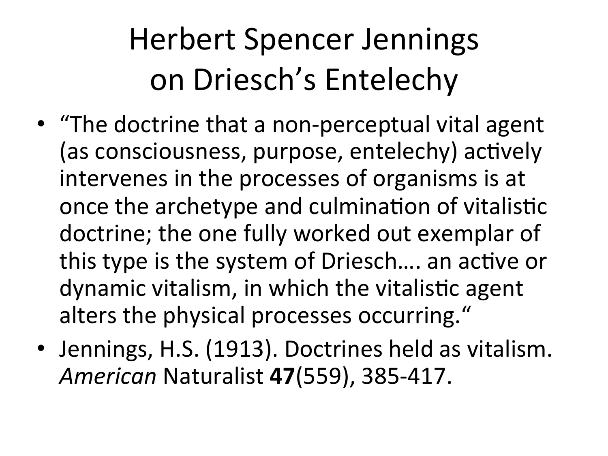- "The doctrine that a non-perceptual vital agent (as consciousness, purpose, entelechy) actively intervenes in the processes of organisms is at once the archetype and culmination of vitalistic doctrine; the one fully worked out exemplar of this type is the system of Driesch.... an active or dynamic vitalism, in which the vitalistic agent alters the physical processes occurring."
- Jennings, H.S. (1913). Doctrines held as vitalism. *American* Naturalist **47**(559), 385-417.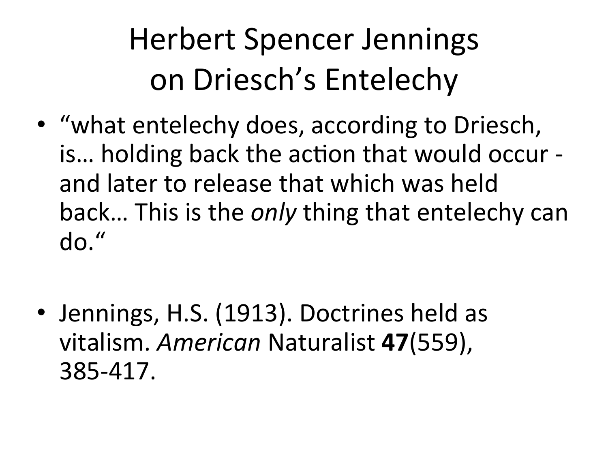- "what entelechy does, according to Driesch, is... holding back the action that would occur and later to release that which was held back... This is the *only* thing that entelechy can do."
- Jennings, H.S. (1913). Doctrines held as vitalism. *American* Naturalist **47**(559), 385-417.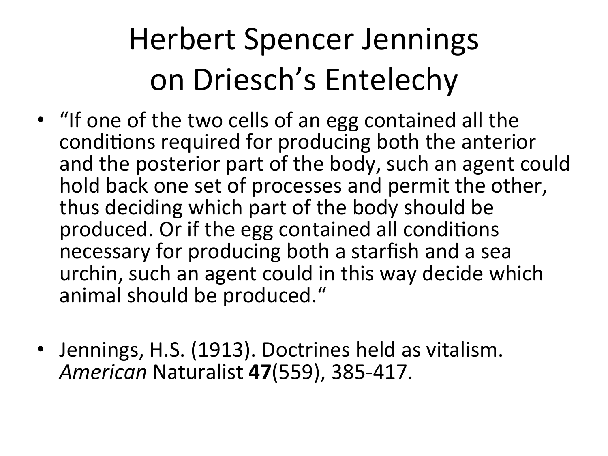- "If one of the two cells of an egg contained all the conditions required for producing both the anterior and the posterior part of the body, such an agent could hold back one set of processes and permit the other, thus deciding which part of the body should be produced. Or if the egg contained all conditions necessary for producing both a starfish and a sea urchin, such an agent could in this way decide which animal should be produced."
- Jennings, H.S. (1913). Doctrines held as vitalism.<br>American Naturalist 47(559), 385-417.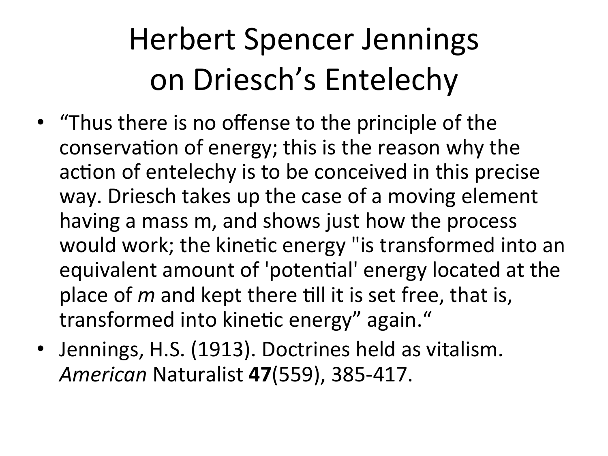- "Thus there is no offense to the principle of the conservation of energy; this is the reason why the action of entelechy is to be conceived in this precise way. Driesch takes up the case of a moving element having a mass m, and shows just how the process would work; the kinetic energy "is transformed into an equivalent amount of 'potential' energy located at the place of *m* and kept there till it is set free, that is, transformed into kinetic energy" again."
- Jennings, H.S. (1913). Doctrines held as vitalism. *American* Naturalist **47**(559), 385-417.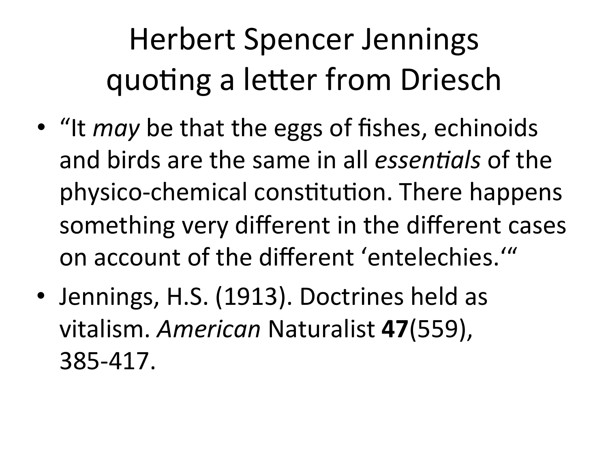### Herbert Spencer Jennings quoting a letter from Driesch

- "It *may* be that the eggs of fishes, echinoids and birds are the same in all *essentigls* of the physico-chemical constitution. There happens something very different in the different cases on account of the different 'entelechies.'"
- Jennings, H.S. (1913). Doctrines held as vitalism. *American* Naturalist **47**(559), 385-417.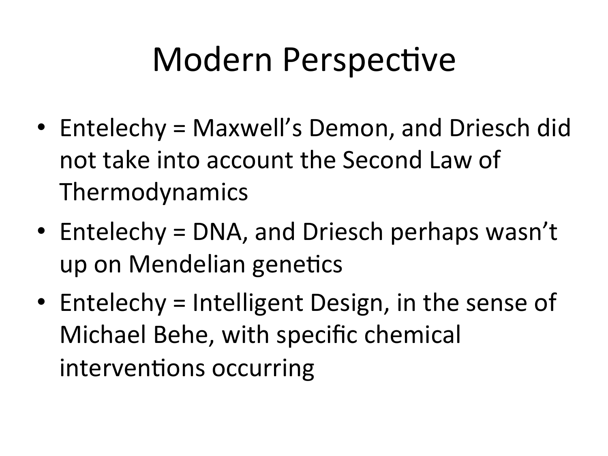### Modern Perspective

- Entelechy = Maxwell's Demon, and Driesch did not take into account the Second Law of Thermodynamics
- Entelechy = DNA, and Driesch perhaps wasn't up on Mendelian genetics
- Entelechy = Intelligent Design, in the sense of Michael Behe, with specific chemical interventions occurring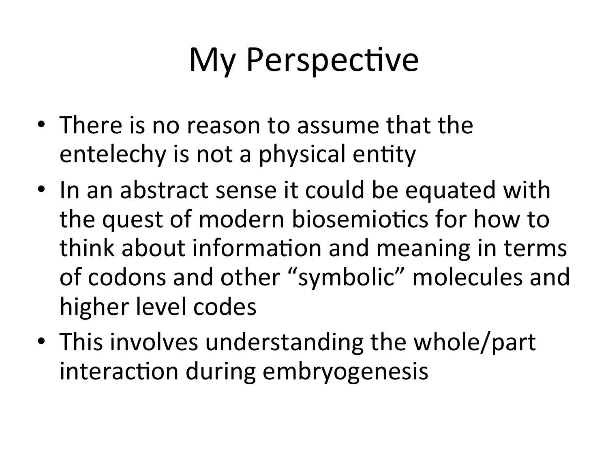### **My Perspective**

- There is no reason to assume that the entelechy is not a physical entity
- In an abstract sense it could be equated with the quest of modern biosemiotics for how to think about information and meaning in terms of codons and other "symbolic" molecules and higher level codes
- This involves understanding the whole/part interaction during embryogenesis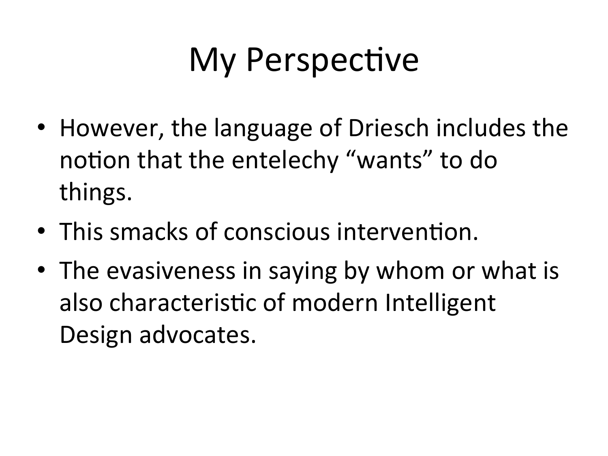### My Perspective

- However, the language of Driesch includes the notion that the entelechy "wants" to do things.
- This smacks of conscious intervention.
- The evasiveness in saying by whom or what is also characteristic of modern Intelligent Design advocates.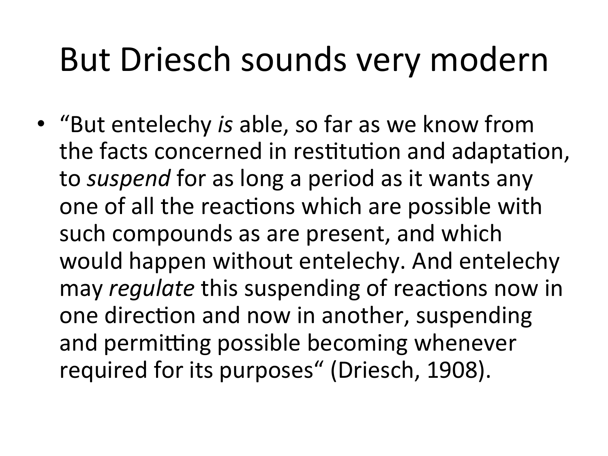### But Driesch sounds very modern

• "But entelechy *is* able, so far as we know from the facts concerned in restitution and adaptation, to *suspend* for as long a period as it wants any one of all the reactions which are possible with such compounds as are present, and which would happen without entelechy. And entelechy may *regulate* this suspending of reactions now in one direction and now in another, suspending and permitting possible becoming whenever required for its purposes" (Driesch, 1908).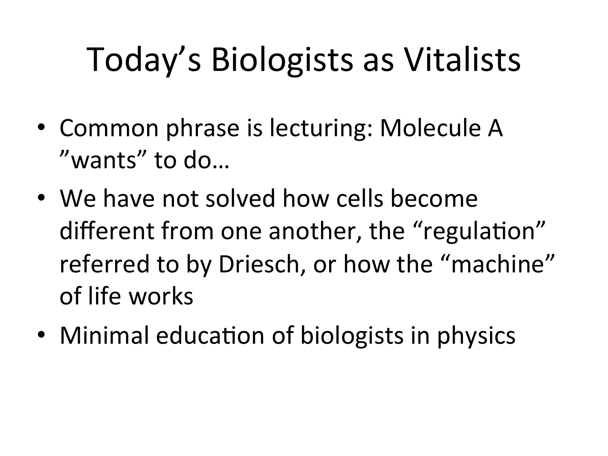## Today's Biologists as Vitalists

- Common phrase is lecturing: Molecule A "wants" to do...
- We have not solved how cells become different from one another, the "regulation" referred to by Driesch, or how the "machine" of life works
- Minimal education of biologists in physics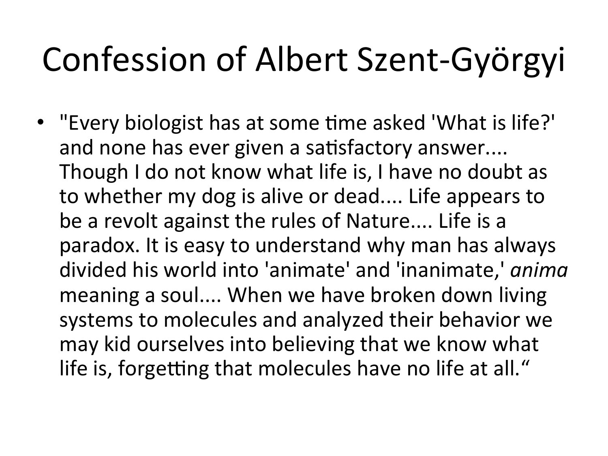## Confession of Albert Szent-Györgyi

• "Every biologist has at some time asked 'What is life?' and none has ever given a satisfactory answer.... Though I do not know what life is, I have no doubt as to whether my dog is alive or dead.... Life appears to be a revolt against the rules of Nature.... Life is a paradox. It is easy to understand why man has always divided his world into 'animate' and 'inanimate,' *anima* meaning a soul.... When we have broken down living systems to molecules and analyzed their behavior we may kid ourselves into believing that we know what life is, forgetting that molecules have no life at all."